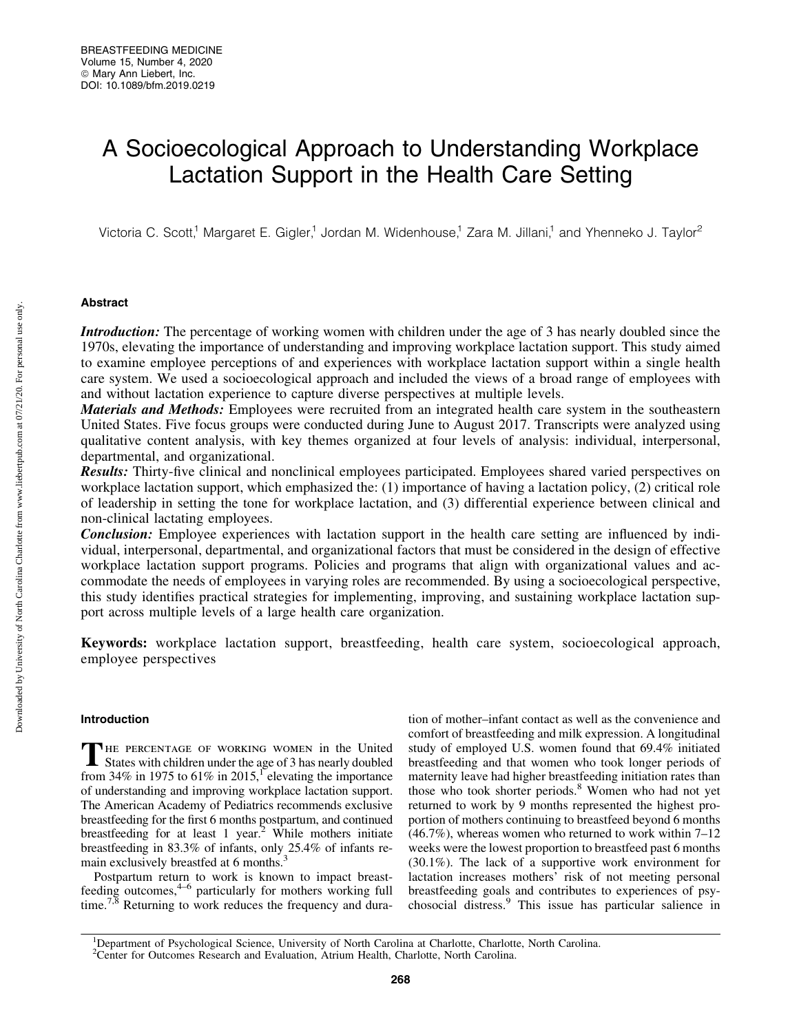# A Socioecological Approach to Understanding Workplace Lactation Support in the Health Care Setting

Victoria C. Scott,<sup>1</sup> Margaret E. Gigler,<sup>1</sup> Jordan M. Widenhouse,<sup>1</sup> Zara M. Jillani,<sup>1</sup> and Yhenneko J. Taylor<sup>2</sup>

# Abstract

Introduction: The percentage of working women with children under the age of 3 has nearly doubled since the 1970s, elevating the importance of understanding and improving workplace lactation support. This study aimed to examine employee perceptions of and experiences with workplace lactation support within a single health care system. We used a socioecological approach and included the views of a broad range of employees with and without lactation experience to capture diverse perspectives at multiple levels.

Materials and Methods: Employees were recruited from an integrated health care system in the southeastern United States. Five focus groups were conducted during June to August 2017. Transcripts were analyzed using qualitative content analysis, with key themes organized at four levels of analysis: individual, interpersonal, departmental, and organizational.

Results: Thirty-five clinical and nonclinical employees participated. Employees shared varied perspectives on workplace lactation support, which emphasized the: (1) importance of having a lactation policy, (2) critical role of leadership in setting the tone for workplace lactation, and (3) differential experience between clinical and non-clinical lactating employees.

**Conclusion:** Employee experiences with lactation support in the health care setting are influenced by individual, interpersonal, departmental, and organizational factors that must be considered in the design of effective workplace lactation support programs. Policies and programs that align with organizational values and accommodate the needs of employees in varying roles are recommended. By using a socioecological perspective, this study identifies practical strategies for implementing, improving, and sustaining workplace lactation support across multiple levels of a large health care organization.

Keywords: workplace lactation support, breastfeeding, health care system, socioecological approach, employee perspectives

# Introduction

THE PERCENTAGE OF WORKING WOMEN in the United<br>States with children under the age of 3 has nearly doubled<br> $\frac{24\%}{\sqrt{1075}}$  to  $\frac{2015}{\sqrt{107}}$  and  $\frac{1}{2015}$ from 34% in 1975 to 61% in 2015,<sup>1</sup> elevating the importance of understanding and improving workplace lactation support. The American Academy of Pediatrics recommends exclusive breastfeeding for the first 6 months postpartum, and continued breastfeeding for at least 1 year.<sup>2</sup> While mothers initiate breastfeeding in 83.3% of infants, only 25.4% of infants remain exclusively breastfed at 6 months.<sup>3</sup>

Postpartum return to work is known to impact breastfeeding outcomes,<sup>4–6</sup> particularly for mothers working full time.<sup>7,8</sup> Returning to work reduces the frequency and duration of mother–infant contact as well as the convenience and comfort of breastfeeding and milk expression. A longitudinal study of employed U.S. women found that 69.4% initiated breastfeeding and that women who took longer periods of maternity leave had higher breastfeeding initiation rates than those who took shorter periods.<sup>8</sup> Women who had not yet returned to work by 9 months represented the highest proportion of mothers continuing to breastfeed beyond 6 months (46.7%), whereas women who returned to work within 7–12 weeks were the lowest proportion to breastfeed past 6 months (30.1%). The lack of a supportive work environment for lactation increases mothers' risk of not meeting personal breastfeeding goals and contributes to experiences of psychosocial distress.<sup>9</sup> This issue has particular salience in

<sup>&</sup>lt;sup>1</sup>Department of Psychological Science, University of North Carolina at Charlotte, Charlotte, North Carolina.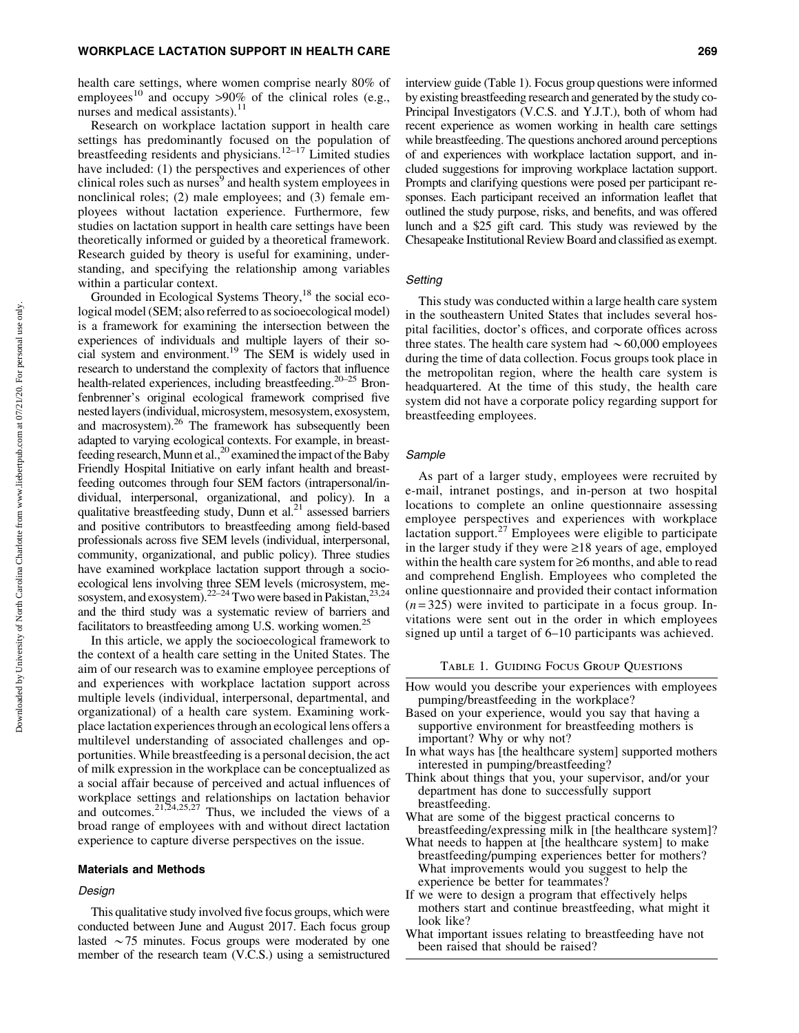health care settings, where women comprise nearly 80% of employees<sup>10</sup> and occupy >90% of the clinical roles (e.g., nurses and medical assistants). $^{11}$ 

Research on workplace lactation support in health care settings has predominantly focused on the population of breastfeeding residents and physicians.<sup>12–17</sup> Limited studies have included: (1) the perspectives and experiences of other clinical roles such as nurses<sup>9</sup> and health system employees in nonclinical roles; (2) male employees; and (3) female employees without lactation experience. Furthermore, few studies on lactation support in health care settings have been theoretically informed or guided by a theoretical framework. Research guided by theory is useful for examining, understanding, and specifying the relationship among variables within a particular context.

Grounded in Ecological Systems Theory, $18$  the social ecological model (SEM; also referred to as socioecological model) is a framework for examining the intersection between the experiences of individuals and multiple layers of their social system and environment.19 The SEM is widely used in research to understand the complexity of factors that influence health-related experiences, including breastfeeding.<sup>20–25</sup> Bronfenbrenner's original ecological framework comprised five nested layers (individual, microsystem, mesosystem, exosystem, and macrosystem).<sup>26</sup> The framework has subsequently been adapted to varying ecological contexts. For example, in breastfeeding research, Munn et al.,<sup>20</sup> examined the impact of the Baby Friendly Hospital Initiative on early infant health and breastfeeding outcomes through four SEM factors (intrapersonal/individual, interpersonal, organizational, and policy). In a qualitative breastfeeding study, Dunn et al. $^{21}$  assessed barriers and positive contributors to breastfeeding among field-based professionals across five SEM levels (individual, interpersonal, community, organizational, and public policy). Three studies have examined workplace lactation support through a socioecological lens involving three SEM levels (microsystem, mesosystem, and exosystem).<sup>22–24</sup>Two were based in Pakistan,<sup>23,24</sup> and the third study was a systematic review of barriers and facilitators to breastfeeding among U.S. working women.<sup>25</sup>

In this article, we apply the socioecological framework to the context of a health care setting in the United States. The aim of our research was to examine employee perceptions of and experiences with workplace lactation support across multiple levels (individual, interpersonal, departmental, and organizational) of a health care system. Examining workplace lactation experiences through an ecological lens offers a multilevel understanding of associated challenges and opportunities. While breastfeeding is a personal decision, the act of milk expression in the workplace can be conceptualized as a social affair because of perceived and actual influences of workplace settings and relationships on lactation behavior and outcomes.  $21,24,25,27$  Thus, we included the views of a broad range of employees with and without direct lactation experience to capture diverse perspectives on the issue.

### Materials and Methods

# Design

This qualitative study involved five focus groups, which were conducted between June and August 2017. Each focus group lasted  $\sim$ 75 minutes. Focus groups were moderated by one member of the research team (V.C.S.) using a semistructured

interview guide (Table 1). Focus group questions were informed by existing breastfeeding research and generated by the study co-Principal Investigators (V.C.S. and Y.J.T.), both of whom had recent experience as women working in health care settings while breastfeeding. The questions anchored around perceptions of and experiences with workplace lactation support, and included suggestions for improving workplace lactation support. Prompts and clarifying questions were posed per participant responses. Each participant received an information leaflet that outlined the study purpose, risks, and benefits, and was offered lunch and a \$25 gift card. This study was reviewed by the Chesapeake Institutional Review Board and classified as exempt.

# **Setting**

This study was conducted within a large health care system in the southeastern United States that includes several hospital facilities, doctor's offices, and corporate offices across three states. The health care system had  $\sim 60,000$  employees during the time of data collection. Focus groups took place in the metropolitan region, where the health care system is headquartered. At the time of this study, the health care system did not have a corporate policy regarding support for breastfeeding employees.

# Sample

As part of a larger study, employees were recruited by e-mail, intranet postings, and in-person at two hospital locations to complete an online questionnaire assessing employee perspectives and experiences with workplace lactation support. $27$  Employees were eligible to participate in the larger study if they were  $\geq 18$  years of age, employed within the health care system for  $\geq 6$  months, and able to read and comprehend English. Employees who completed the online questionnaire and provided their contact information (*n* = 325) were invited to participate in a focus group. Invitations were sent out in the order in which employees signed up until a target of 6–10 participants was achieved.

# Table 1. Guiding Focus Group Questions

- How would you describe your experiences with employees pumping/breastfeeding in the workplace?
- Based on your experience, would you say that having a supportive environment for breastfeeding mothers is important? Why or why not?
- In what ways has [the healthcare system] supported mothers interested in pumping/breastfeeding?
- Think about things that you, your supervisor, and/or your department has done to successfully support breastfeeding.
- What are some of the biggest practical concerns to breastfeeding/expressing milk in [the healthcare system]?
- What needs to happen at [the healthcare system] to make breastfeeding/pumping experiences better for mothers? What improvements would you suggest to help the experience be better for teammates?
- If we were to design a program that effectively helps mothers start and continue breastfeeding, what might it look like?
- What important issues relating to breastfeeding have not been raised that should be raised?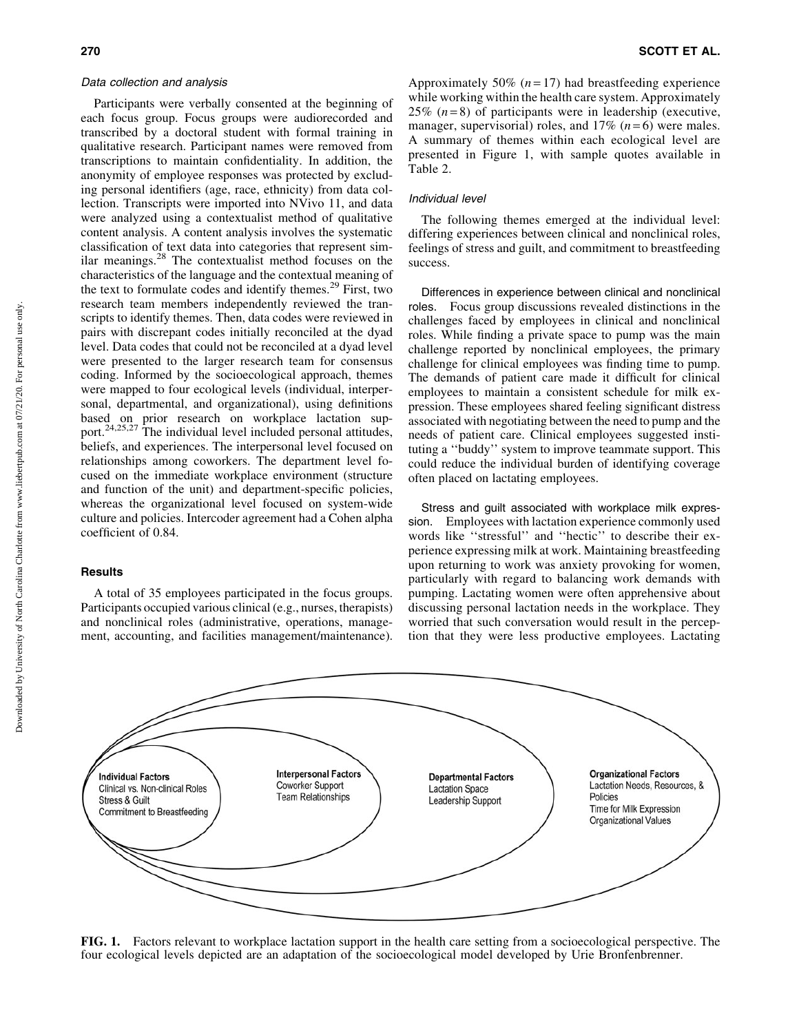#### Data collection and analysis

Participants were verbally consented at the beginning of each focus group. Focus groups were audiorecorded and transcribed by a doctoral student with formal training in qualitative research. Participant names were removed from transcriptions to maintain confidentiality. In addition, the anonymity of employee responses was protected by excluding personal identifiers (age, race, ethnicity) from data collection. Transcripts were imported into NVivo 11, and data were analyzed using a contextualist method of qualitative content analysis. A content analysis involves the systematic classification of text data into categories that represent similar meanings. $28$  The contextualist method focuses on the characteristics of the language and the contextual meaning of the text to formulate codes and identify themes.<sup>29</sup> First, two research team members independently reviewed the transcripts to identify themes. Then, data codes were reviewed in pairs with discrepant codes initially reconciled at the dyad level. Data codes that could not be reconciled at a dyad level were presented to the larger research team for consensus coding. Informed by the socioecological approach, themes were mapped to four ecological levels (individual, interpersonal, departmental, and organizational), using definitions based on prior research on workplace lactation support.<sup>24,25,27</sup> The individual level included personal attitudes, beliefs, and experiences. The interpersonal level focused on relationships among coworkers. The department level focused on the immediate workplace environment (structure and function of the unit) and department-specific policies, whereas the organizational level focused on system-wide culture and policies. Intercoder agreement had a Cohen alpha coefficient of 0.84.

# **Results**

A total of 35 employees participated in the focus groups. Participants occupied various clinical (e.g., nurses, therapists) and nonclinical roles (administrative, operations, management, accounting, and facilities management/maintenance). Approximately 50%  $(n=17)$  had breastfeeding experience while working within the health care system. Approximately 25%  $(n=8)$  of participants were in leadership (executive, manager, supervisorial) roles, and  $17\%$  ( $n=6$ ) were males. A summary of themes within each ecological level are presented in Figure 1, with sample quotes available in Table 2.

#### Individual level

The following themes emerged at the individual level: differing experiences between clinical and nonclinical roles, feelings of stress and guilt, and commitment to breastfeeding success.

Differences in experience between clinical and nonclinical roles. Focus group discussions revealed distinctions in the challenges faced by employees in clinical and nonclinical roles. While finding a private space to pump was the main challenge reported by nonclinical employees, the primary challenge for clinical employees was finding time to pump. The demands of patient care made it difficult for clinical employees to maintain a consistent schedule for milk expression. These employees shared feeling significant distress associated with negotiating between the need to pump and the needs of patient care. Clinical employees suggested instituting a ''buddy'' system to improve teammate support. This could reduce the individual burden of identifying coverage often placed on lactating employees.

Stress and guilt associated with workplace milk expression. Employees with lactation experience commonly used words like ''stressful'' and ''hectic'' to describe their experience expressing milk at work. Maintaining breastfeeding upon returning to work was anxiety provoking for women, particularly with regard to balancing work demands with pumping. Lactating women were often apprehensive about discussing personal lactation needs in the workplace. They worried that such conversation would result in the perception that they were less productive employees. Lactating



FIG. 1. Factors relevant to workplace lactation support in the health care setting from a socioecological perspective. The four ecological levels depicted are an adaptation of the socioecological model developed by Urie Bronfenbrenner.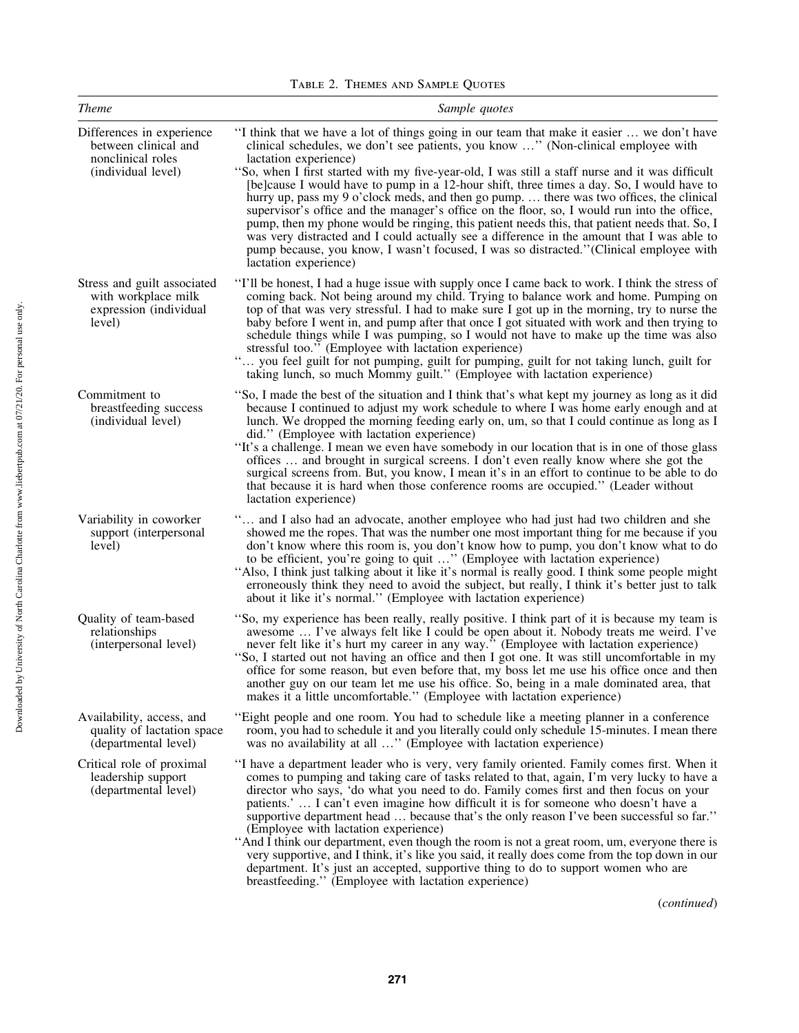| <b>Theme</b>                                                                                 | Sample quotes                                                                                                                                                                                                                                                                                                                                                                                                                                                                                                                                                                                                                                                                                                                                                                                                                                                                                                           |
|----------------------------------------------------------------------------------------------|-------------------------------------------------------------------------------------------------------------------------------------------------------------------------------------------------------------------------------------------------------------------------------------------------------------------------------------------------------------------------------------------------------------------------------------------------------------------------------------------------------------------------------------------------------------------------------------------------------------------------------------------------------------------------------------------------------------------------------------------------------------------------------------------------------------------------------------------------------------------------------------------------------------------------|
| Differences in experience<br>between clinical and<br>nonclinical roles<br>(individual level) | "I think that we have a lot of things going in our team that make it easier  we don't have<br>clinical schedules, we don't see patients, you know " (Non-clinical employee with<br>lactation experience)<br>"So, when I first started with my five-year-old, I was still a staff nurse and it was difficult<br>[be] cause I would have to pump in a 12-hour shift, three times a day. So, I would have to<br>hurry up, pass my 9 o'clock meds, and then go pump.  there was two offices, the clinical<br>supervisor's office and the manager's office on the floor, so, I would run into the office,<br>pump, then my phone would be ringing, this patient needs this, that patient needs that. So, I<br>was very distracted and I could actually see a difference in the amount that I was able to<br>pump because, you know, I wasn't focused, I was so distracted." (Clinical employee with<br>lactation experience) |
| Stress and guilt associated<br>with workplace milk<br>expression (individual<br>level)       | "I'll be honest, I had a huge issue with supply once I came back to work. I think the stress of<br>coming back. Not being around my child. Trying to balance work and home. Pumping on<br>top of that was very stressful. I had to make sure I got up in the morning, try to nurse the<br>baby before I went in, and pump after that once I got situated with work and then trying to<br>schedule things while I was pumping, so I would not have to make up the time was also<br>stressful too." (Employee with lactation experience)<br>" you feel guilt for not pumping, guilt for pumping, guilt for not taking lunch, guilt for<br>taking lunch, so much Mommy guilt." (Employee with lactation experience)                                                                                                                                                                                                        |
| Commitment to<br>breastfeeding success<br>(individual level)                                 | "So, I made the best of the situation and I think that's what kept my journey as long as it did<br>because I continued to adjust my work schedule to where I was home early enough and at<br>lunch. We dropped the morning feeding early on, um, so that I could continue as long as I<br>did." (Employee with lactation experience)<br>"It's a challenge. I mean we even have somebody in our location that is in one of those glass<br>offices  and brought in surgical screens. I don't even really know where she got the<br>surgical screens from. But, you know, I mean it's in an effort to continue to be able to do<br>that because it is hard when those conference rooms are occupied." (Leader without<br>lactation experience)                                                                                                                                                                             |
| Variability in coworker<br>support (interpersonal<br>level)                                  | " and I also had an advocate, another employee who had just had two children and she<br>showed me the ropes. That was the number one most important thing for me because if you<br>don't know where this room is, you don't know how to pump, you don't know what to do<br>to be efficient, you're going to quit " (Employee with lactation experience)<br>"Also, I think just talking about it like it's normal is really good. I think some people might<br>erroneously think they need to avoid the subject, but really, I think it's better just to talk<br>about it like it's normal." (Employee with lactation experience)                                                                                                                                                                                                                                                                                        |
| Quality of team-based<br>relationships<br>(interpersonal level)                              | "So, my experience has been really, really positive. I think part of it is because my team is<br>awesome  I've always felt like I could be open about it. Nobody treats me weird. I've<br>never felt like it's hurt my career in any way." (Employee with lactation experience)<br>"So, I started out not having an office and then I got one. It was still uncomfortable in my<br>office for some reason, but even before that, my boss let me use his office once and then<br>another guy on our team let me use his office. So, being in a male dominated area, that<br>makes it a little uncomfortable." (Employee with lactation experience)                                                                                                                                                                                                                                                                       |
| Availability, access, and<br>quality of lactation space<br>(departmental level)              | "Eight people and one room. You had to schedule like a meeting planner in a conference<br>room, you had to schedule it and you literally could only schedule 15-minutes. I mean there<br>was no availability at all " (Employee with lactation experience)                                                                                                                                                                                                                                                                                                                                                                                                                                                                                                                                                                                                                                                              |
| Critical role of proximal<br>leadership support<br>(departmental level)                      | "I have a department leader who is very, very family oriented. Family comes first. When it<br>comes to pumping and taking care of tasks related to that, again, I'm very lucky to have a<br>director who says, 'do what you need to do. Family comes first and then focus on your<br>patients.'  I can't even imagine how difficult it is for someone who doesn't have a<br>supportive department head  because that's the only reason I've been successful so far."<br>(Employee with lactation experience)<br>"And I think our department, even though the room is not a great room, um, everyone there is<br>very supportive, and I think, it's like you said, it really does come from the top down in our<br>department. It's just an accepted, supportive thing to do to support women who are<br>breastfeeding." (Employee with lactation experience)                                                            |
|                                                                                              | (continued)                                                                                                                                                                                                                                                                                                                                                                                                                                                                                                                                                                                                                                                                                                                                                                                                                                                                                                             |

| TABLE 2. THEMES AND SAMPLE QUOTES |  |  |
|-----------------------------------|--|--|
|                                   |  |  |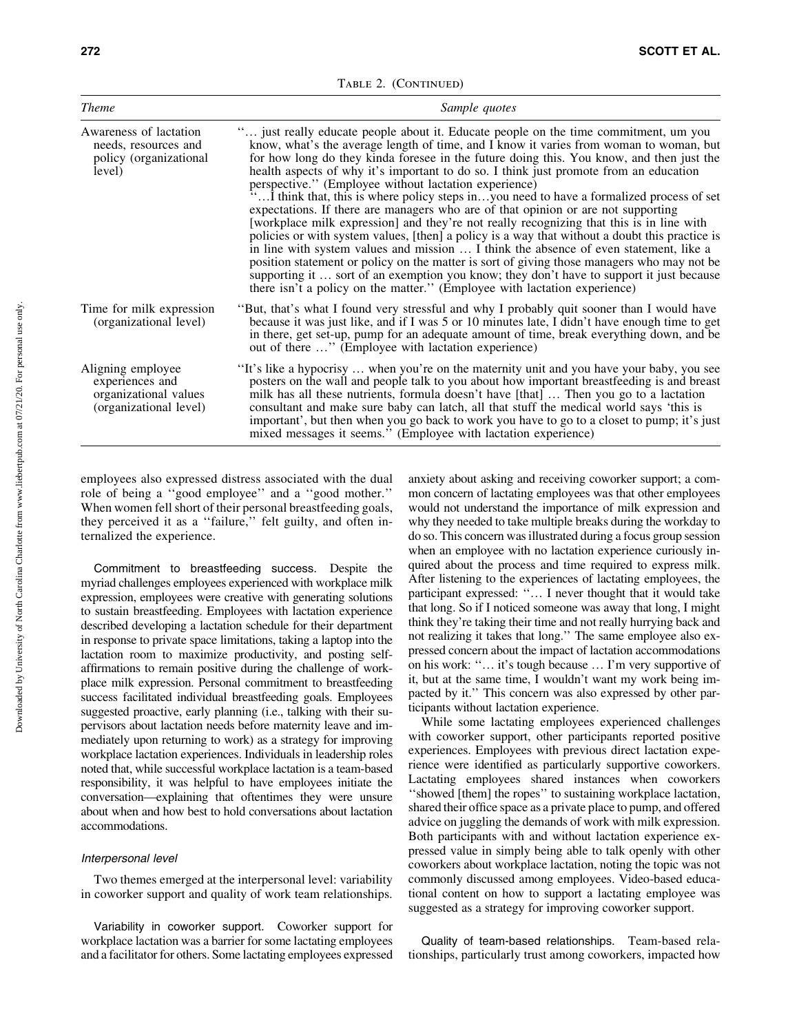| <b>Theme</b>                                                                            | Sample quotes                                                                                                                                                                                                                                                                                                                                                                                                                                                                                                                                                                                                                                                                                                                                                                                                                                                                                                                                                                                                                                                                                                                                                               |
|-----------------------------------------------------------------------------------------|-----------------------------------------------------------------------------------------------------------------------------------------------------------------------------------------------------------------------------------------------------------------------------------------------------------------------------------------------------------------------------------------------------------------------------------------------------------------------------------------------------------------------------------------------------------------------------------------------------------------------------------------------------------------------------------------------------------------------------------------------------------------------------------------------------------------------------------------------------------------------------------------------------------------------------------------------------------------------------------------------------------------------------------------------------------------------------------------------------------------------------------------------------------------------------|
| Awareness of lactation<br>needs, resources and<br>policy (organizational<br>level)      | " just really educate people about it. Educate people on the time commitment, um you<br>know, what's the average length of time, and I know it varies from woman to woman, but<br>for how long do they kind aforesee in the future doing this. You know, and then just the<br>health aspects of why it's important to do so. I think just promote from an education<br>perspective." (Employee without lactation experience)<br>"I think that, this is where policy steps inyou need to have a formalized process of set<br>expectations. If there are managers who are of that opinion or are not supporting<br>[workplace milk expression] and they're not really recognizing that this is in line with<br>policies or with system values, [then] a policy is a way that without a doubt this practice is<br>in line with system values and mission  I think the absence of even statement, like a<br>position statement or policy on the matter is sort of giving those managers who may not be<br>supporting it  sort of an exemption you know; they don't have to support it just because<br>there isn't a policy on the matter." (Employee with lactation experience) |
| Time for milk expression<br>(organizational level)                                      | "But, that's what I found very stressful and why I probably quit sooner than I would have<br>because it was just like, and if I was 5 or 10 minutes late, I didn't have enough time to get<br>in there, get set-up, pump for an adequate amount of time, break everything down, and be<br>out of there " (Employee with lactation experience)                                                                                                                                                                                                                                                                                                                                                                                                                                                                                                                                                                                                                                                                                                                                                                                                                               |
| Aligning employee<br>experiences and<br>organizational values<br>(organizational level) | "It's like a hypocrisy  when you're on the maternity unit and you have your baby, you see<br>posters on the wall and people talk to you about how important breastfeeding is and breast<br>milk has all these nutrients, formula doesn't have [that]  Then you go to a lactation<br>consultant and make sure baby can latch, all that stuff the medical world says 'this is<br>important', but then when you go back to work you have to go to a closet to pump; it's just<br>mixed messages it seems." (Employee with lactation experience)                                                                                                                                                                                                                                                                                                                                                                                                                                                                                                                                                                                                                                |

employees also expressed distress associated with the dual role of being a ''good employee'' and a ''good mother.'' When women fell short of their personal breastfeeding goals, they perceived it as a ''failure,'' felt guilty, and often internalized the experience.

Commitment to breastfeeding success. Despite the myriad challenges employees experienced with workplace milk expression, employees were creative with generating solutions to sustain breastfeeding. Employees with lactation experience described developing a lactation schedule for their department in response to private space limitations, taking a laptop into the lactation room to maximize productivity, and posting selfaffirmations to remain positive during the challenge of workplace milk expression. Personal commitment to breastfeeding success facilitated individual breastfeeding goals. Employees suggested proactive, early planning (i.e., talking with their supervisors about lactation needs before maternity leave and immediately upon returning to work) as a strategy for improving workplace lactation experiences. Individuals in leadership roles noted that, while successful workplace lactation is a team-based responsibility, it was helpful to have employees initiate the conversation—explaining that oftentimes they were unsure about when and how best to hold conversations about lactation accommodations.

# Interpersonal level

Two themes emerged at the interpersonal level: variability in coworker support and quality of work team relationships.

Variability in coworker support. Coworker support for workplace lactation was a barrier for some lactating employees and a facilitator for others. Some lactating employees expressed anxiety about asking and receiving coworker support; a common concern of lactating employees was that other employees would not understand the importance of milk expression and why they needed to take multiple breaks during the workday to do so. This concern was illustrated during a focus group session when an employee with no lactation experience curiously inquired about the process and time required to express milk. After listening to the experiences of lactating employees, the participant expressed: "... I never thought that it would take that long. So if I noticed someone was away that long, I might think they're taking their time and not really hurrying back and not realizing it takes that long.'' The same employee also expressed concern about the impact of lactation accommodations on his work: "... it's tough because ... I'm very supportive of it, but at the same time, I wouldn't want my work being impacted by it.'' This concern was also expressed by other participants without lactation experience.

While some lactating employees experienced challenges with coworker support, other participants reported positive experiences. Employees with previous direct lactation experience were identified as particularly supportive coworkers. Lactating employees shared instances when coworkers ''showed [them] the ropes'' to sustaining workplace lactation, shared their office space as a private place to pump, and offered advice on juggling the demands of work with milk expression. Both participants with and without lactation experience expressed value in simply being able to talk openly with other coworkers about workplace lactation, noting the topic was not commonly discussed among employees. Video-based educational content on how to support a lactating employee was suggested as a strategy for improving coworker support.

Quality of team-based relationships. Team-based relationships, particularly trust among coworkers, impacted how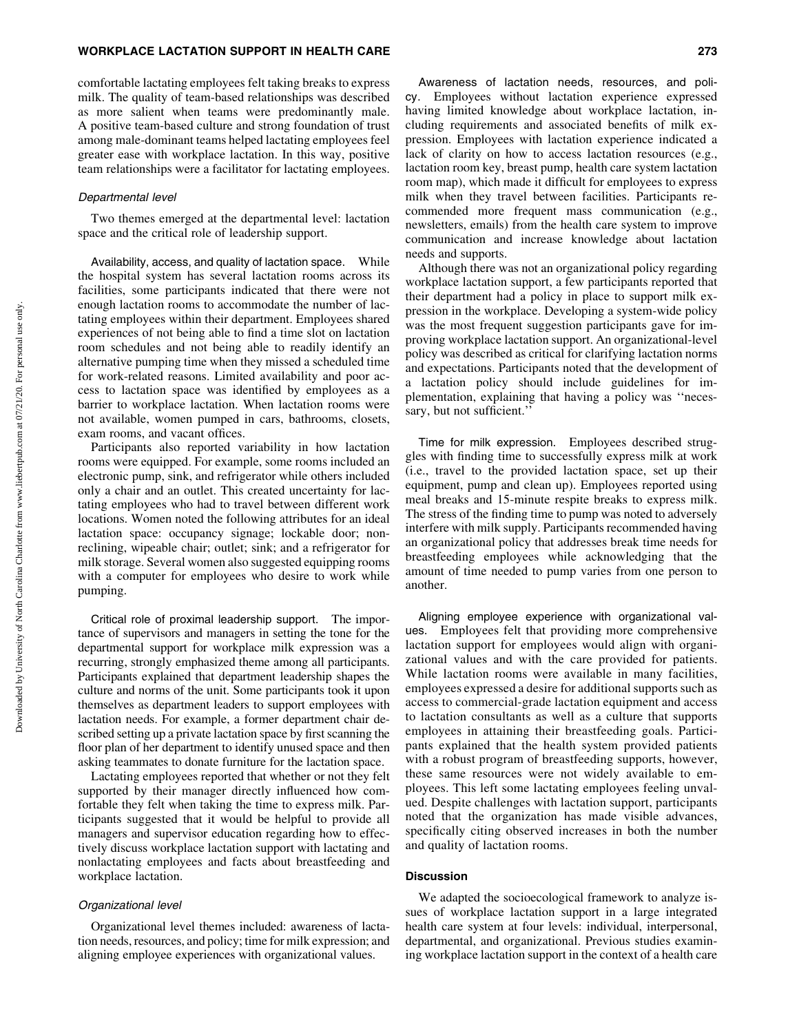comfortable lactating employees felt taking breaks to express milk. The quality of team-based relationships was described as more salient when teams were predominantly male. A positive team-based culture and strong foundation of trust among male-dominant teams helped lactating employees feel greater ease with workplace lactation. In this way, positive team relationships were a facilitator for lactating employees.

#### Departmental level

Two themes emerged at the departmental level: lactation space and the critical role of leadership support.

Availability, access, and quality of lactation space. While the hospital system has several lactation rooms across its facilities, some participants indicated that there were not enough lactation rooms to accommodate the number of lactating employees within their department. Employees shared experiences of not being able to find a time slot on lactation room schedules and not being able to readily identify an alternative pumping time when they missed a scheduled time for work-related reasons. Limited availability and poor access to lactation space was identified by employees as a barrier to workplace lactation. When lactation rooms were not available, women pumped in cars, bathrooms, closets, exam rooms, and vacant offices.

Participants also reported variability in how lactation rooms were equipped. For example, some rooms included an electronic pump, sink, and refrigerator while others included only a chair and an outlet. This created uncertainty for lactating employees who had to travel between different work locations. Women noted the following attributes for an ideal lactation space: occupancy signage; lockable door; nonreclining, wipeable chair; outlet; sink; and a refrigerator for milk storage. Several women also suggested equipping rooms with a computer for employees who desire to work while pumping.

Critical role of proximal leadership support. The importance of supervisors and managers in setting the tone for the departmental support for workplace milk expression was a recurring, strongly emphasized theme among all participants. Participants explained that department leadership shapes the culture and norms of the unit. Some participants took it upon themselves as department leaders to support employees with lactation needs. For example, a former department chair described setting up a private lactation space by first scanning the floor plan of her department to identify unused space and then asking teammates to donate furniture for the lactation space.

Lactating employees reported that whether or not they felt supported by their manager directly influenced how comfortable they felt when taking the time to express milk. Participants suggested that it would be helpful to provide all managers and supervisor education regarding how to effectively discuss workplace lactation support with lactating and nonlactating employees and facts about breastfeeding and workplace lactation.

# Organizational level

Organizational level themes included: awareness of lactation needs, resources, and policy; time for milk expression; and aligning employee experiences with organizational values.

Awareness of lactation needs, resources, and policy. Employees without lactation experience expressed having limited knowledge about workplace lactation, including requirements and associated benefits of milk expression. Employees with lactation experience indicated a lack of clarity on how to access lactation resources (e.g., lactation room key, breast pump, health care system lactation room map), which made it difficult for employees to express milk when they travel between facilities. Participants recommended more frequent mass communication (e.g., newsletters, emails) from the health care system to improve communication and increase knowledge about lactation needs and supports.

Although there was not an organizational policy regarding workplace lactation support, a few participants reported that their department had a policy in place to support milk expression in the workplace. Developing a system-wide policy was the most frequent suggestion participants gave for improving workplace lactation support. An organizational-level policy was described as critical for clarifying lactation norms and expectations. Participants noted that the development of a lactation policy should include guidelines for implementation, explaining that having a policy was ''necessary, but not sufficient.''

Time for milk expression. Employees described struggles with finding time to successfully express milk at work (i.e., travel to the provided lactation space, set up their equipment, pump and clean up). Employees reported using meal breaks and 15-minute respite breaks to express milk. The stress of the finding time to pump was noted to adversely interfere with milk supply. Participants recommended having an organizational policy that addresses break time needs for breastfeeding employees while acknowledging that the amount of time needed to pump varies from one person to another.

Aligning employee experience with organizational values. Employees felt that providing more comprehensive lactation support for employees would align with organizational values and with the care provided for patients. While lactation rooms were available in many facilities, employees expressed a desire for additional supports such as access to commercial-grade lactation equipment and access to lactation consultants as well as a culture that supports employees in attaining their breastfeeding goals. Participants explained that the health system provided patients with a robust program of breastfeeding supports, however, these same resources were not widely available to employees. This left some lactating employees feeling unvalued. Despite challenges with lactation support, participants noted that the organization has made visible advances, specifically citing observed increases in both the number and quality of lactation rooms.

# Discussion

We adapted the socioecological framework to analyze issues of workplace lactation support in a large integrated health care system at four levels: individual, interpersonal, departmental, and organizational. Previous studies examining workplace lactation support in the context of a health care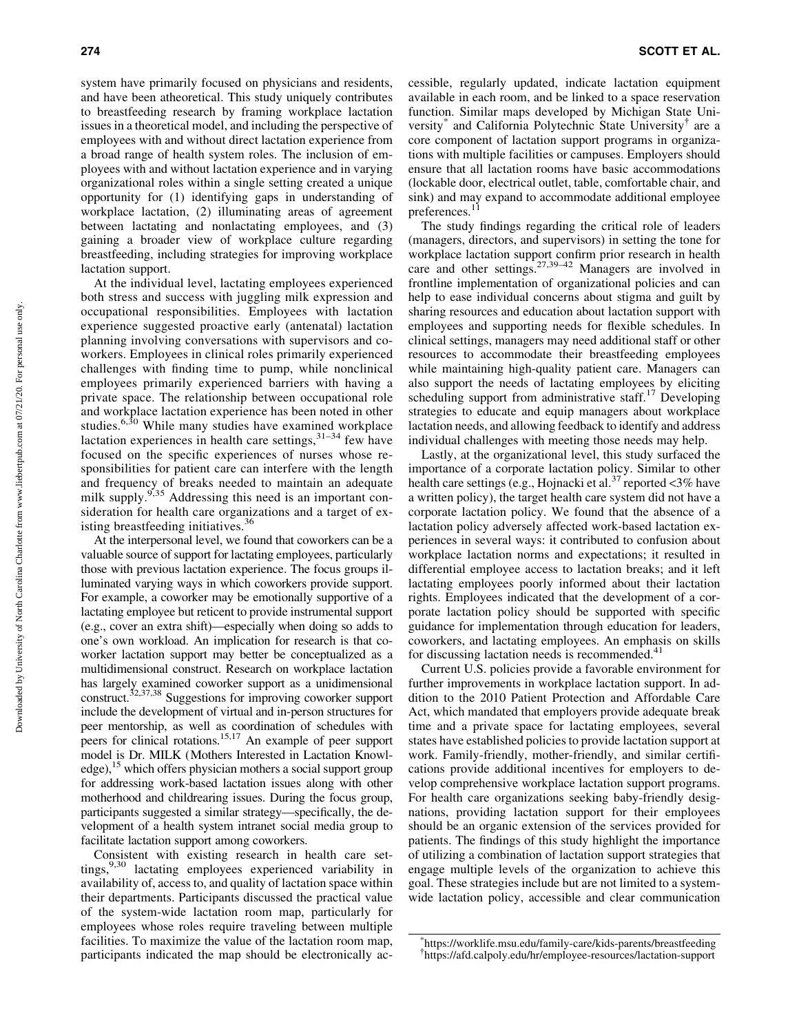system have primarily focused on physicians and residents, and have been atheoretical. This study uniquely contributes to breastfeeding research by framing workplace lactation issues in a theoretical model, and including the perspective of employees with and without direct lactation experience from a broad range of health system roles. The inclusion of employees with and without lactation experience and in varying organizational roles within a single setting created a unique opportunity for (1) identifying gaps in understanding of workplace lactation, (2) illuminating areas of agreement between lactating and nonlactating employees, and (3) gaining a broader view of workplace culture regarding breastfeeding, including strategies for improving workplace lactation support.

At the individual level, lactating employees experienced both stress and success with juggling milk expression and occupational responsibilities. Employees with lactation experience suggested proactive early (antenatal) lactation planning involving conversations with supervisors and coworkers. Employees in clinical roles primarily experienced challenges with finding time to pump, while nonclinical employees primarily experienced barriers with having a private space. The relationship between occupational role and workplace lactation experience has been noted in other studies. $6,30$  While many studies have examined workplace lactation experiences in health care settings,  $31-34$  few have focused on the specific experiences of nurses whose responsibilities for patient care can interfere with the length and frequency of breaks needed to maintain an adequate milk supply.<sup>9,35</sup> Addressing this need is an important consideration for health care organizations and a target of existing breastfeeding initiatives.<sup>36</sup>

At the interpersonal level, we found that coworkers can be a valuable source of support for lactating employees, particularly those with previous lactation experience. The focus groups illuminated varying ways in which coworkers provide support. For example, a coworker may be emotionally supportive of a lactating employee but reticent to provide instrumental support (e.g., cover an extra shift)—especially when doing so adds to one's own workload. An implication for research is that coworker lactation support may better be conceptualized as a multidimensional construct. Research on workplace lactation has largely examined coworker support as a unidimensional construct.<sup>32,37,38</sup> Suggestions for improving coworker support include the development of virtual and in-person structures for peer mentorship, as well as coordination of schedules with peers for clinical rotations.<sup>15,17</sup> An example of peer support model is Dr. MILK (Mothers Interested in Lactation Knowledge), $15$  which offers physician mothers a social support group for addressing work-based lactation issues along with other motherhood and childrearing issues. During the focus group, participants suggested a similar strategy—specifically, the development of a health system intranet social media group to facilitate lactation support among coworkers.

Consistent with existing research in health care settings,<sup>9,30</sup> lactating employees experienced variability in availability of, access to, and quality of lactation space within their departments. Participants discussed the practical value of the system-wide lactation room map, particularly for employees whose roles require traveling between multiple facilities. To maximize the value of the lactation room map, participants indicated the map should be electronically accessible, regularly updated, indicate lactation equipment available in each room, and be linked to a space reservation function. Similar maps developed by Michigan State University<sup>\*</sup> and California Polytechnic State University<sup>†</sup> are a core component of lactation support programs in organizations with multiple facilities or campuses. Employers should ensure that all lactation rooms have basic accommodations (lockable door, electrical outlet, table, comfortable chair, and sink) and may expand to accommodate additional employee preferences.<sup>11</sup>

The study findings regarding the critical role of leaders (managers, directors, and supervisors) in setting the tone for workplace lactation support confirm prior research in health care and other settings.<sup>27,39–42</sup> Managers are involved in frontline implementation of organizational policies and can help to ease individual concerns about stigma and guilt by sharing resources and education about lactation support with employees and supporting needs for flexible schedules. In clinical settings, managers may need additional staff or other resources to accommodate their breastfeeding employees while maintaining high-quality patient care. Managers can also support the needs of lactating employees by eliciting scheduling support from administrative staff.<sup>17</sup> Developing strategies to educate and equip managers about workplace lactation needs, and allowing feedback to identify and address individual challenges with meeting those needs may help.

Lastly, at the organizational level, this study surfaced the importance of a corporate lactation policy. Similar to other health care settings (e.g., Hojnacki et al.<sup>37</sup> reported <3% have a written policy), the target health care system did not have a corporate lactation policy. We found that the absence of a lactation policy adversely affected work-based lactation experiences in several ways: it contributed to confusion about workplace lactation norms and expectations; it resulted in differential employee access to lactation breaks; and it left lactating employees poorly informed about their lactation rights. Employees indicated that the development of a corporate lactation policy should be supported with specific guidance for implementation through education for leaders, coworkers, and lactating employees. An emphasis on skills for discussing lactation needs is recommended.<sup>41</sup>

Current U.S. policies provide a favorable environment for further improvements in workplace lactation support. In addition to the 2010 Patient Protection and Affordable Care Act, which mandated that employers provide adequate break time and a private space for lactating employees, several states have established policies to provide lactation support at work. Family-friendly, mother-friendly, and similar certifications provide additional incentives for employers to develop comprehensive workplace lactation support programs. For health care organizations seeking baby-friendly designations, providing lactation support for their employees should be an organic extension of the services provided for patients. The findings of this study highlight the importance of utilizing a combination of lactation support strategies that engage multiple levels of the organization to achieve this goal. These strategies include but are not limited to a systemwide lactation policy, accessible and clear communication

<sup>\*</sup> <https://worklife.msu.edu/family-care/kids-parents/breastfeeding> { <https://afd.calpoly.edu/hr/employee-resources/lactation-support>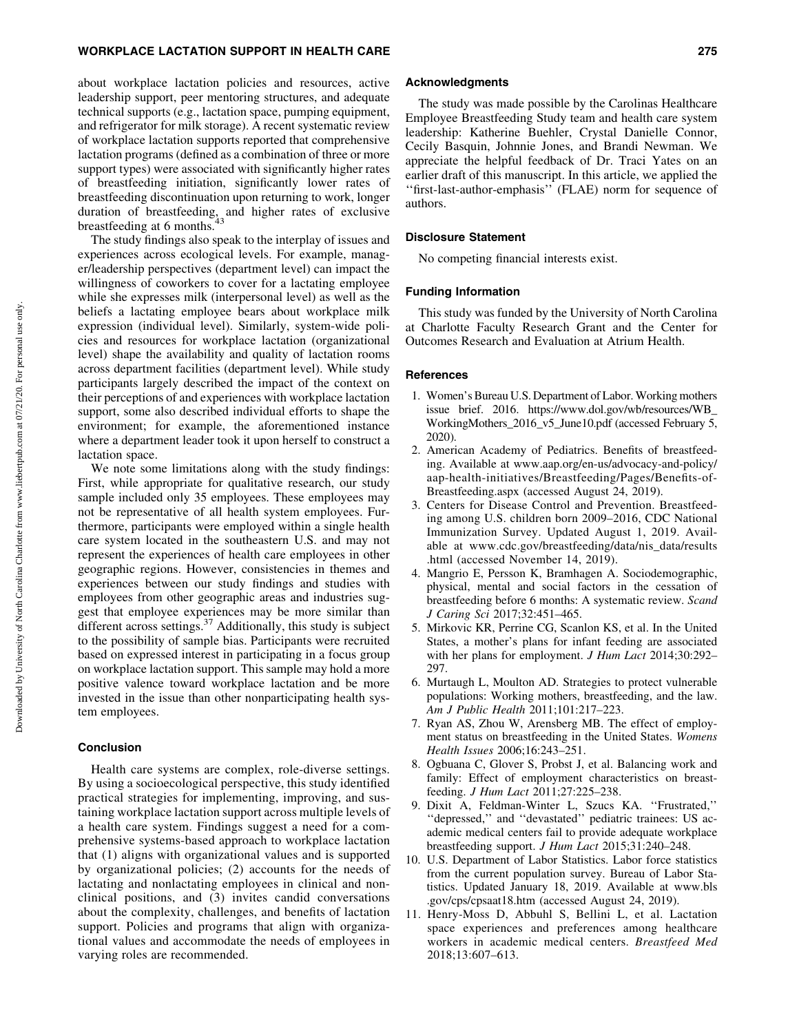# WORKPLACE LACTATION SUPPORT IN HEALTH CARE **1996 120 MW 275** 275

about workplace lactation policies and resources, active leadership support, peer mentoring structures, and adequate technical supports (e.g., lactation space, pumping equipment, and refrigerator for milk storage). A recent systematic review of workplace lactation supports reported that comprehensive lactation programs (defined as a combination of three or more support types) were associated with significantly higher rates of breastfeeding initiation, significantly lower rates of breastfeeding discontinuation upon returning to work, longer duration of breastfeeding, and higher rates of exclusive<br>breastfeeding at 6 months <sup>43</sup> breastfeeding at 6 months.

The study findings also speak to the interplay of issues and experiences across ecological levels. For example, manager/leadership perspectives (department level) can impact the willingness of coworkers to cover for a lactating employee while she expresses milk (interpersonal level) as well as the beliefs a lactating employee bears about workplace milk expression (individual level). Similarly, system-wide policies and resources for workplace lactation (organizational level) shape the availability and quality of lactation rooms across department facilities (department level). While study participants largely described the impact of the context on their perceptions of and experiences with workplace lactation support, some also described individual efforts to shape the environment; for example, the aforementioned instance where a department leader took it upon herself to construct a lactation space.

We note some limitations along with the study findings: First, while appropriate for qualitative research, our study sample included only 35 employees. These employees may not be representative of all health system employees. Furthermore, participants were employed within a single health care system located in the southeastern U.S. and may not represent the experiences of health care employees in other geographic regions. However, consistencies in themes and experiences between our study findings and studies with employees from other geographic areas and industries suggest that employee experiences may be more similar than different across settings.<sup>37</sup> Additionally, this study is subject to the possibility of sample bias. Participants were recruited based on expressed interest in participating in a focus group on workplace lactation support. This sample may hold a more positive valence toward workplace lactation and be more invested in the issue than other nonparticipating health system employees.

# Conclusion

Health care systems are complex, role-diverse settings. By using a socioecological perspective, this study identified practical strategies for implementing, improving, and sustaining workplace lactation support across multiple levels of a health care system. Findings suggest a need for a comprehensive systems-based approach to workplace lactation that (1) aligns with organizational values and is supported by organizational policies; (2) accounts for the needs of lactating and nonlactating employees in clinical and nonclinical positions, and (3) invites candid conversations about the complexity, challenges, and benefits of lactation support. Policies and programs that align with organizational values and accommodate the needs of employees in varying roles are recommended.

#### Acknowledgments

The study was made possible by the Carolinas Healthcare Employee Breastfeeding Study team and health care system leadership: Katherine Buehler, Crystal Danielle Connor, Cecily Basquin, Johnnie Jones, and Brandi Newman. We appreciate the helpful feedback of Dr. Traci Yates on an earlier draft of this manuscript. In this article, we applied the ''first-last-author-emphasis'' (FLAE) norm for sequence of authors.

#### Disclosure Statement

No competing financial interests exist.

#### Funding Information

This study was funded by the University of North Carolina at Charlotte Faculty Research Grant and the Center for Outcomes Research and Evaluation at Atrium Health.

#### **References**

- 1. Women's Bureau U.S. Department of Labor. Working mothers issue brief. 2016. https://www.dol.gov/wb/resources/WB\_ WorkingMothers\_2016\_v5\_June10.pdf (accessed February 5, 2020).
- 2. American Academy of Pediatrics. Benefits of breastfeeding. Available at [www.aap.org/en-us/advocacy-and-policy/](http://www.aap.org/en-us/advocacy-and-policy/aap-health-initiatives/Breastfeeding/Pages/Benefits-of-Breastfeeding.aspx) [aap-health-initiatives/Breastfeeding/Pages/Benefits-of-](http://www.aap.org/en-us/advocacy-and-policy/aap-health-initiatives/Breastfeeding/Pages/Benefits-of-Breastfeeding.aspx)[Breastfeeding.aspx](http://www.aap.org/en-us/advocacy-and-policy/aap-health-initiatives/Breastfeeding/Pages/Benefits-of-Breastfeeding.aspx) (accessed August 24, 2019).
- 3. Centers for Disease Control and Prevention. Breastfeeding among U.S. children born 2009–2016, CDC National Immunization Survey. Updated August 1, 2019. Available at [www.cdc.gov/breastfeeding/data/nis\\_data/results](http://www.cdc.gov/breastfeeding/data/nis_data/results.html) [.html](http://www.cdc.gov/breastfeeding/data/nis_data/results.html) (accessed November 14, 2019).
- 4. Mangrio E, Persson K, Bramhagen A. Sociodemographic, physical, mental and social factors in the cessation of breastfeeding before 6 months: A systematic review. *Scand J Caring Sci* 2017;32:451–465.
- 5. Mirkovic KR, Perrine CG, Scanlon KS, et al. In the United States, a mother's plans for infant feeding are associated with her plans for employment. *J Hum Lact* 2014;30:292– 297.
- 6. Murtaugh L, Moulton AD. Strategies to protect vulnerable populations: Working mothers, breastfeeding, and the law. *Am J Public Health* 2011;101:217–223.
- 7. Ryan AS, Zhou W, Arensberg MB. The effect of employment status on breastfeeding in the United States. *Womens Health Issues* 2006;16:243–251.
- 8. Ogbuana C, Glover S, Probst J, et al. Balancing work and family: Effect of employment characteristics on breastfeeding. *J Hum Lact* 2011;27:225–238.
- 9. Dixit A, Feldman-Winter L, Szucs KA. ''Frustrated,'' ''depressed,'' and ''devastated'' pediatric trainees: US academic medical centers fail to provide adequate workplace breastfeeding support. *J Hum Lact* 2015;31:240–248.
- 10. U.S. Department of Labor Statistics. Labor force statistics from the current population survey. Bureau of Labor Statistics. Updated January 18, 2019. Available at [www.bls](http://www.bls.gov/cps/cpsaat18.htm) [.gov/cps/cpsaat18.htm](http://www.bls.gov/cps/cpsaat18.htm) (accessed August 24, 2019).
- 11. Henry-Moss D, Abbuhl S, Bellini L, et al. Lactation space experiences and preferences among healthcare workers in academic medical centers. *Breastfeed Med* 2018;13:607–613.